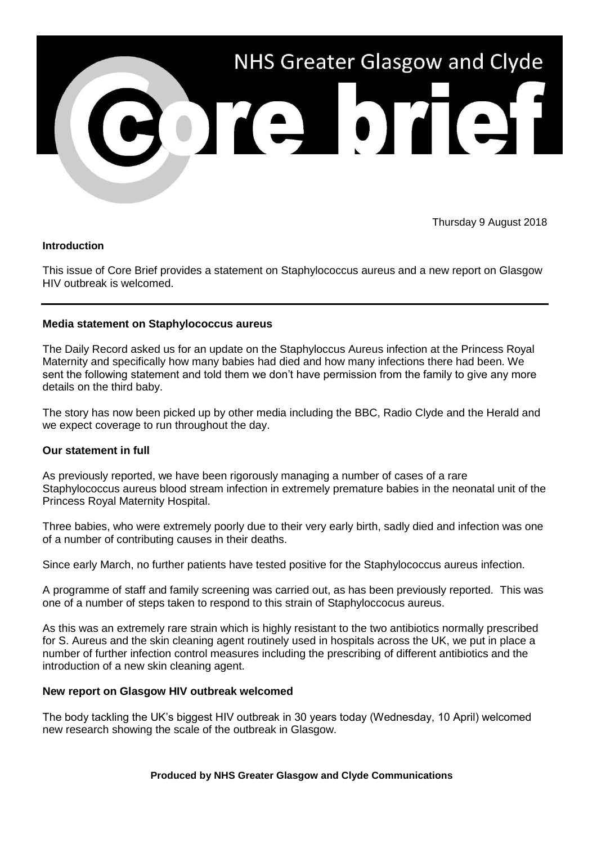

Thursday 9 August 2018

## **Introduction**

This issue of Core Brief provides a statement on Staphylococcus aureus and a new report on Glasgow HIV outbreak is welcomed.

# **Media statement on Staphylococcus aureus**

The Daily Record asked us for an update on the Staphyloccus Aureus infection at the Princess Royal Maternity and specifically how many babies had died and how many infections there had been. We sent the following statement and told them we don't have permission from the family to give any more details on the third baby.

The story has now been picked up by other media including the BBC, Radio Clyde and the Herald and we expect coverage to run throughout the day.

## **Our statement in full**

As previously reported, we have been rigorously managing a number of cases of a rare Staphylococcus aureus blood stream infection in extremely premature babies in the neonatal unit of the Princess Royal Maternity Hospital.

Three babies, who were extremely poorly due to their very early birth, sadly died and infection was one of a number of contributing causes in their deaths.

Since early March, no further patients have tested positive for the Staphylococcus aureus infection.

A programme of staff and family screening was carried out, as has been previously reported. This was one of a number of steps taken to respond to this strain of Staphyloccocus aureus.

As this was an extremely rare strain which is highly resistant to the two antibiotics normally prescribed for S. Aureus and the skin cleaning agent routinely used in hospitals across the UK, we put in place a number of further infection control measures including the prescribing of different antibiotics and the introduction of a new skin cleaning agent.

## **New report on Glasgow HIV outbreak welcomed**

The body tackling the UK's biggest HIV outbreak in 30 years today (Wednesday, 10 April) welcomed new research showing the scale of the outbreak in Glasgow.

## **Produced by NHS Greater Glasgow and Clyde Communications**